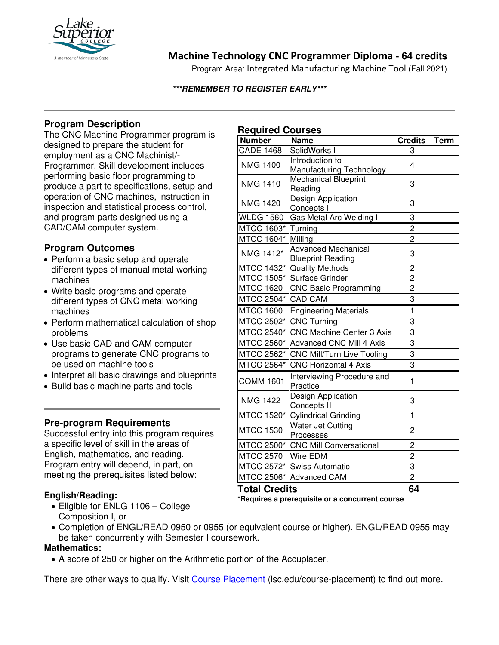

## **Machine Technology CNC Programmer Diploma - 64 credits**

Program Area: Integrated Manufacturing Machine Tool (Fall 2021)

#### **\*\*\*REMEMBER TO REGISTER EARLY\*\*\***

### **Program Description**

The CNC Machine Programmer program is designed to prepare the student for employment as a CNC Machinist/- Programmer. Skill development includes performing basic floor programming to produce a part to specifications, setup and operation of CNC machines, instruction in inspection and statistical process control, and program parts designed using a CAD/CAM computer system.

### **Program Outcomes**

- Perform a basic setup and operate different types of manual metal working machines
- Write basic programs and operate different types of CNC metal working machines
- Perform mathematical calculation of shop problems
- Use basic CAD and CAM computer programs to generate CNC programs to be used on machine tools
- Interpret all basic drawings and blueprints
- Build basic machine parts and tools

#### **Pre-program Requirements**

Successful entry into this program requires a specific level of skill in the areas of English, mathematics, and reading. Program entry will depend, in part, on meeting the prerequisites listed below:

#### **English/Reading:**

• Eligible for ENLG 1106 – College Composition I, or

**Required Courses**

| <b>Number</b>                        | <b>Name</b>                            | <b>Credits</b> | <b>Term</b> |
|--------------------------------------|----------------------------------------|----------------|-------------|
| <b>CADE 1468</b>                     | SolidWorks I                           | 3              |             |
| <b>INMG 1400</b>                     | Introduction to                        | $\overline{4}$ |             |
|                                      | Manufacturing Technology               |                |             |
| <b>INMG 1410</b>                     | <b>Mechanical Blueprint</b>            | 3              |             |
|                                      | Reading                                |                |             |
| <b>INMG 1420</b><br><b>WLDG 1560</b> | Design Application                     | 3              |             |
|                                      | Concepts I<br>Gas Metal Arc Welding I  | 3              |             |
| MTCC 1603*                           |                                        | $\overline{c}$ |             |
| MTCC 1604*                           | Turning<br>Milling                     | $\overline{c}$ |             |
|                                      | <b>Advanced Mechanical</b>             |                |             |
| <b>INMG 1412*</b>                    | <b>Blueprint Reading</b>               | 3              |             |
| MTCC 1432*                           | <b>Quality Methods</b>                 | $\overline{c}$ |             |
| <b>MTCC 1505*</b>                    | Surface Grinder                        | $\overline{2}$ |             |
| <b>MTCC 1620</b>                     | <b>CNC Basic Programming</b>           | $\overline{2}$ |             |
| MTCC 2504*                           | <b>CAD CAM</b>                         | $\overline{3}$ |             |
| <b>MTCC 1600</b>                     | <b>Engineering Materials</b>           | $\mathbf{1}$   |             |
| MTCC 2502*                           | <b>CNC Turning</b>                     | 3              |             |
| MTCC 2540*                           | <b>CNC Machine Center 3 Axis</b>       | 3              |             |
| MTCC 2560*                           | <b>Advanced CNC Mill 4 Axis</b>        | 3              |             |
| MTCC 2562*                           | <b>CNC Mill/Turn Live Tooling</b>      | 3              |             |
| <b>MTCC 2564*</b>                    | <b>CNC Horizontal 4 Axis</b>           | 3              |             |
| <b>COMM 1601</b>                     | Interviewing Procedure and<br>Practice | 1              |             |
| <b>INMG 1422</b>                     | Design Application<br>Concepts II      | 3              |             |
| MTCC 1520*                           | <b>Cylindrical Grinding</b>            | 1              |             |
| <b>MTCC 1530</b>                     | Water Jet Cutting                      | 2              |             |
|                                      | Processes                              |                |             |
| MTCC 2500*                           | <b>CNC Mill Conversational</b>         | $\overline{c}$ |             |
| <b>MTCC 2570</b>                     | Wire EDM                               | $\overline{2}$ |             |
| MTCC 2572*                           | <b>Swiss Automatic</b>                 | $\overline{3}$ |             |
| MTCC 2506*                           | <b>Advanced CAM</b>                    | $\overline{c}$ |             |
| <b>Total Credits</b>                 |                                        | 64             |             |

**\*Requires a prerequisite or a concurrent course**

• Completion of ENGL/READ 0950 or 0955 (or equivalent course or higher). ENGL/READ 0955 may be taken concurrently with Semester I coursework.

#### **Mathematics:**

• A score of 250 or higher on the Arithmetic portion of the Accuplacer.

There are other ways to qualify. Visit [Course Placement](https://www.lsc.edu/course-placement/) (lsc.edu/course-placement) to find out more.